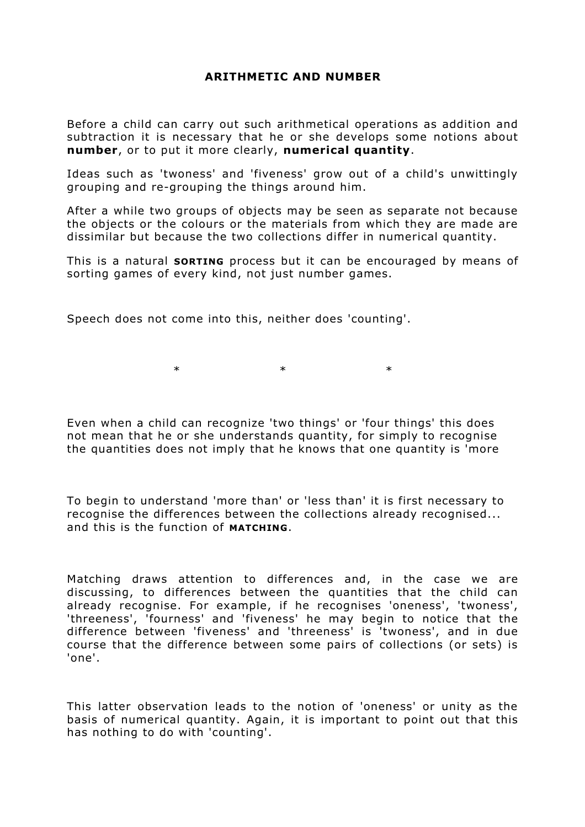## **ARITHMETIC AND NUMBER**

Before a child can carry out such arithmetical operations as addition and subtraction it is necessary that he or she develops some notions about **number**, or to put it more clearly, **numerical quantity**.

Ideas such as 'twoness' and 'fiveness' grow out of a child's unwittingly grouping and re-grouping the things around him.

After a while two groups of objects may be seen as separate not because the objects or the colours or the materials from which they are made are dissimilar but because the two collections differ in numerical quantity.

This is a natural **SORTING** process but it can be encouraged by means of sorting games of every kind, not just number games.

Speech does not come into this, neither does 'counting'.

 $\ast$   $\ast$   $\ast$ 

Even when a child can recognize 'two things' or 'four things' this does not mean that he or she understands quantity, for simply to recognise the quantities does not imply that he knows that one quantity is 'more

To begin to understand 'more than' or 'less than' it is first necessary to recognise the differences between the collections already recognised... and this is the function of **MATCHING**.

Matching draws attention to differences and, in the case we are discussing, to differences between the quantities that the child can already recognise. For example, if he recognises 'oneness', 'twoness', 'threeness', 'fourness' and 'fiveness' he may begin to notice that the difference between 'fiveness' and 'threeness' is 'twoness', and in due course that the difference between some pairs of collections (or sets) is 'one'.

This latter observation leads to the notion of 'oneness' or unity as the basis of numerical quantity. Again, it is important to point out that this has nothing to do with 'counting'.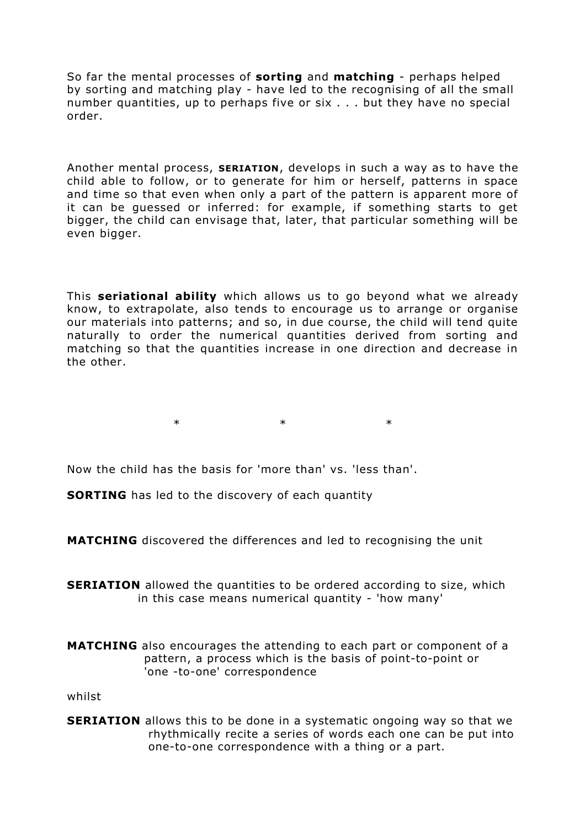So far the mental processes of **sorting** and **matching** - perhaps helped by sorting and matching play - have led to the recognising of all the small number quantities, up to perhaps five or six . . . but they have no special order.

Another mental process, **SERIATION**, develops in such a way as to have the child able to follow, or to generate for him or herself, patterns in space and time so that even when only a part of the pattern is apparent more of it can be guessed or inferred: for example, if something starts to get bigger, the child can envisage that, later, that particular something will be even bigger.

This **seriational ability** which allows us to go beyond what we already know, to extrapolate, also tends to encourage us to arrange or organise our materials into patterns; and so, in due course, the child will tend quite naturally to order the numerical quantities derived from sorting and matching so that the quantities increase in one direction and decrease in the other.

 $*$  \* \* \*

Now the child has the basis for 'more than' vs. 'less than'.

**SORTING** has led to the discovery of each quantity

**MATCHING** discovered the differences and led to recognising the unit

**SERIATION** allowed the quantities to be ordered according to size, which in this case means numerical quantity - 'how many'

**MATCHING** also encourages the attending to each part or component of a pattern, a process which is the basis of point-to-point or 'one -to-one' correspondence

whilst

**SERIATION** allows this to be done in a systematic ongoing way so that we rhythmically recite a series of words each one can be put into one-to-one correspondence with a thing or a part.